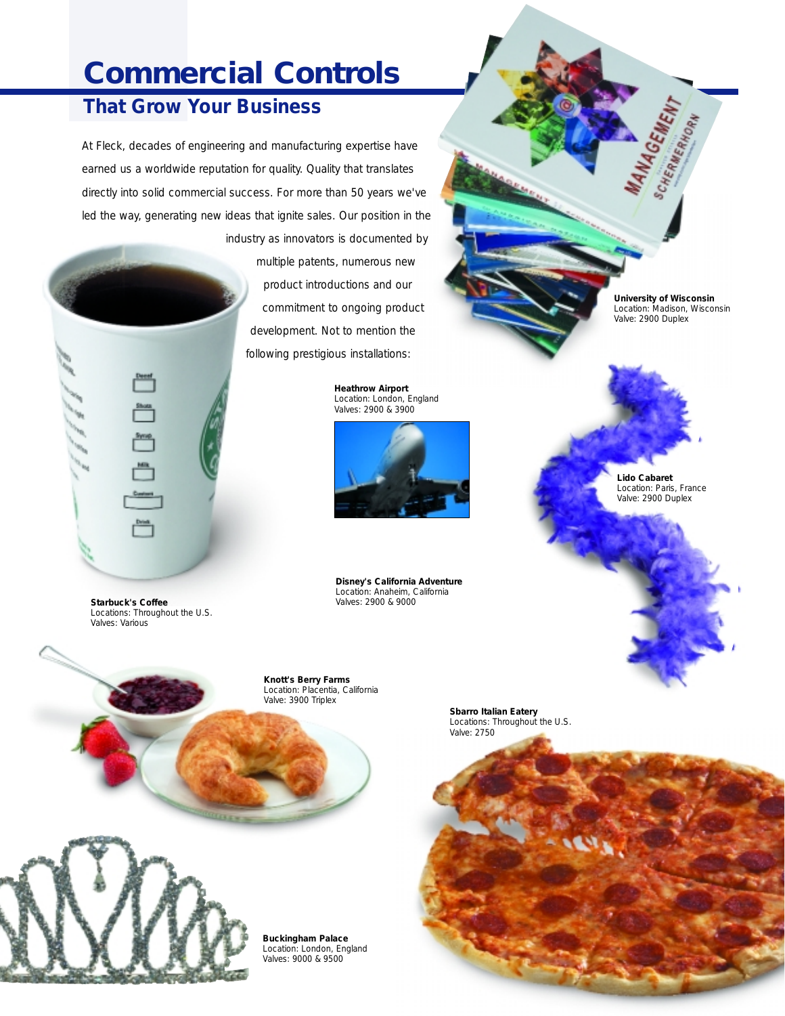## **Commercial Controls**

## **That Grow Your Business**

At Fleck, decades of engineering and manufacturing expertise have earned us a worldwide reputation for quality. Quality that translates directly into solid commercial success. For more than 50 years we've led the way, generating new ideas that ignite sales. Our position in the

> industry as innovators is documented by multiple patents, numerous new product introductions and our commitment to ongoing product development. Not to mention the following prestigious installations:

> > **Heathrow Airport** Location: London, England Valves: 2900 & 3900



**Disney's California Adventure** Location: Anaheim, California Valves: 2900 & 9000

**University of Wisconsin** Location: Madison, Wisconsin Valve: 2900 Duplex

**MANAGEMENT** 

**Lido Cabaret** Location: Paris, France Valve: 2900 Duplex

**Starbuck's Coffee** Locations: Throughout the U.S. Valves: Various

Syng.



**Sbarro Italian Eatery** Locations: Throughout the U.S. Valve: 2750



**Buckingham Palace** Location: London, England Valves: 9000 & 9500